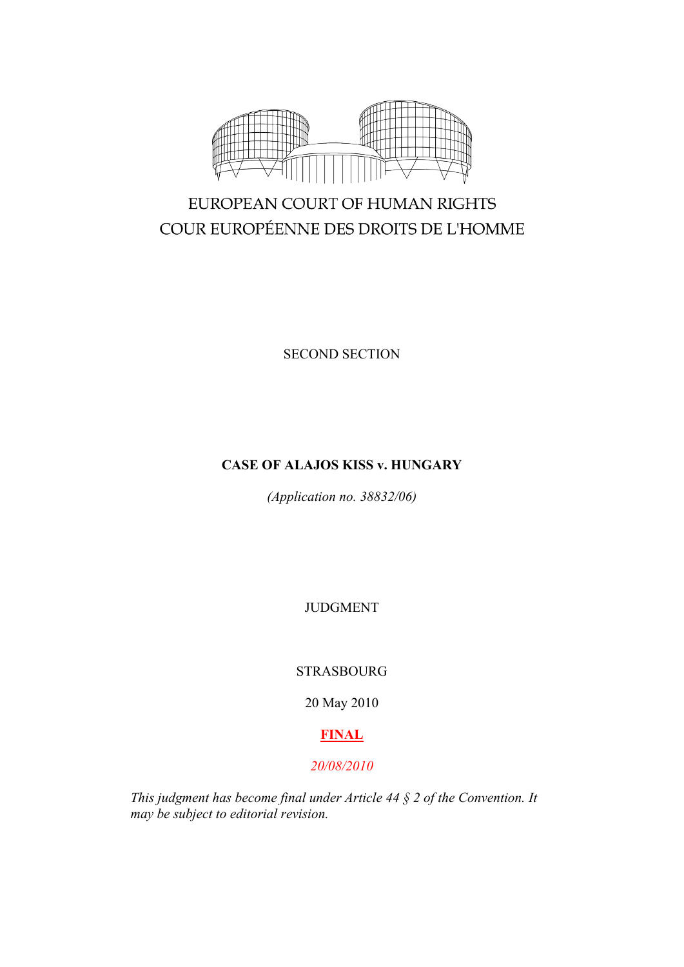

# EUROPEAN COURT OF HUMAN RIGHTS COUR EUROPÉENNE DES DROITS DE L'HOMME

SECOND SECTION

# **CASE OF ALAJOS KISS v. HUNGARY**

*(Application no. 38832/06)*

JUDGMENT

# STRASBOURG

20 May 2010

# **FINAL**

# *20/08/2010*

*This judgment has become final under Article 44 § 2 of the Convention. It may be subject to editorial revision.*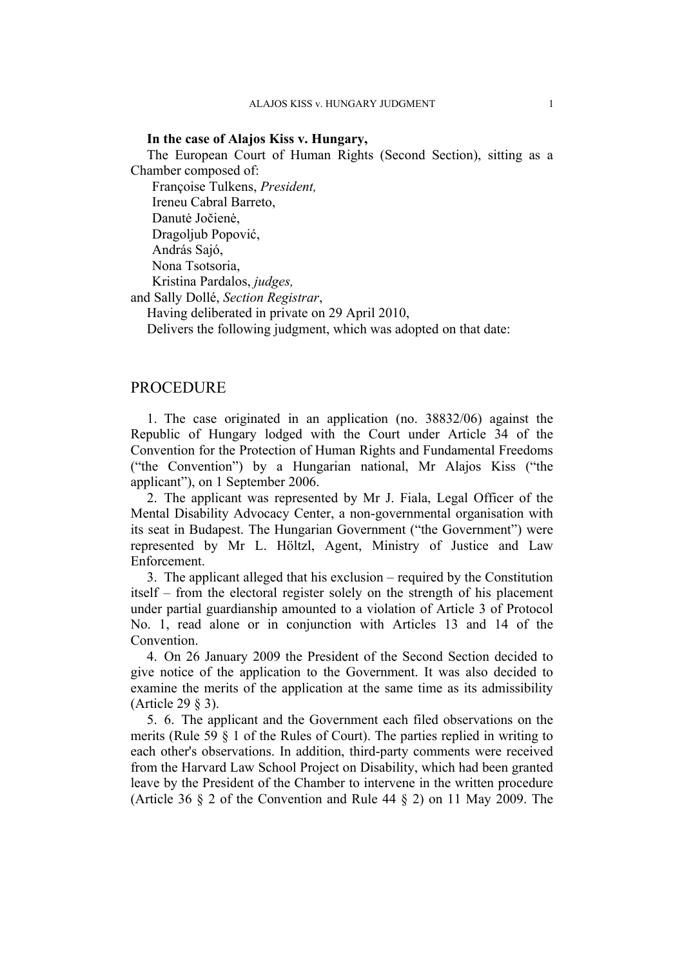### **In the case of Alajos Kiss v. Hungary,**

The European Court of Human Rights (Second Section), sitting as a Chamber composed of:

Françoise Tulkens, *President,* Ireneu Cabral Barreto, Danutė Jočienė, Dragoljub Popović, András Sajó, Nona Tsotsoria, Kristina Pardalos, *judges,* and Sally Dollé, *Section Registrar*,

Having deliberated in private on 29 April 2010,

Delivers the following judgment, which was adopted on that date:

### **PROCEDURE**

1. The case originated in an application (no. 38832/06) against the Republic of Hungary lodged with the Court under Article 34 of the Convention for the Protection of Human Rights and Fundamental Freedoms ("the Convention") by a Hungarian national, Mr Alajos Kiss ("the applicant"), on 1 September 2006.

2. The applicant was represented by Mr J. Fiala, Legal Officer of the Mental Disability Advocacy Center, a non-governmental organisation with its seat in Budapest. The Hungarian Government ("the Government") were represented by Mr L. Höltzl, Agent, Ministry of Justice and Law Enforcement.

3. The applicant alleged that his exclusion – required by the Constitution itself – from the electoral register solely on the strength of his placement under partial guardianship amounted to a violation of Article 3 of Protocol No. 1, read alone or in conjunction with Articles 13 and 14 of the Convention.

4. On 26 January 2009 the President of the Second Section decided to give notice of the application to the Government. It was also decided to examine the merits of the application at the same time as its admissibility (Article 29 § 3).

5. 6. The applicant and the Government each filed observations on the merits (Rule 59 § 1 of the Rules of Court). The parties replied in writing to each other's observations. In addition, third-party comments were received from the Harvard Law School Project on Disability, which had been granted leave by the President of the Chamber to intervene in the written procedure (Article 36 § 2 of the Convention and Rule 44 § 2) on 11 May 2009. The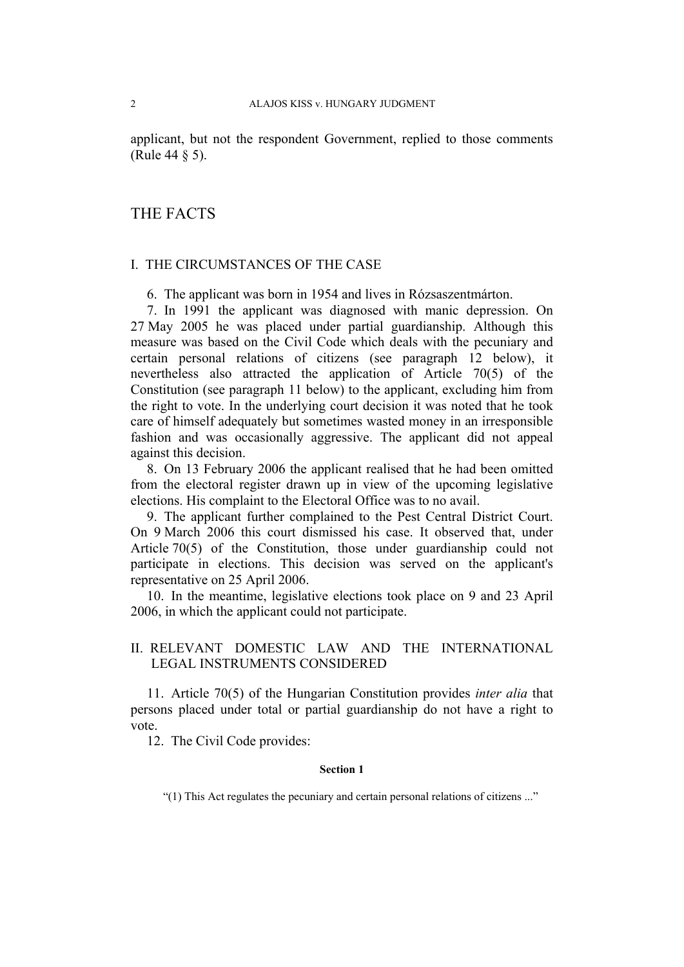applicant, but not the respondent Government, replied to those comments (Rule 44 § 5).

# THE FACTS

### I. THE CIRCUMSTANCES OF THE CASE

6. The applicant was born in 1954 and lives in Rózsaszentmárton.

7. In 1991 the applicant was diagnosed with manic depression. On 27 May 2005 he was placed under partial guardianship. Although this measure was based on the Civil Code which deals with the pecuniary and certain personal relations of citizens (see paragraph 12 below), it nevertheless also attracted the application of Article 70(5) of the Constitution (see paragraph 11 below) to the applicant, excluding him from the right to vote. In the underlying court decision it was noted that he took care of himself adequately but sometimes wasted money in an irresponsible fashion and was occasionally aggressive. The applicant did not appeal against this decision.

8. On 13 February 2006 the applicant realised that he had been omitted from the electoral register drawn up in view of the upcoming legislative elections. His complaint to the Electoral Office was to no avail.

9. The applicant further complained to the Pest Central District Court. On 9 March 2006 this court dismissed his case. It observed that, under Article 70(5) of the Constitution, those under guardianship could not participate in elections. This decision was served on the applicant's representative on 25 April 2006.

10. In the meantime, legislative elections took place on 9 and 23 April 2006, in which the applicant could not participate.

### II. RELEVANT DOMESTIC LAW AND THE INTERNATIONAL LEGAL INSTRUMENTS CONSIDERED

11. Article 70(5) of the Hungarian Constitution provides *inter alia* that persons placed under total or partial guardianship do not have a right to vote.

12. The Civil Code provides:

#### **Section 1**

"(1) This Act regulates the pecuniary and certain personal relations of citizens ..."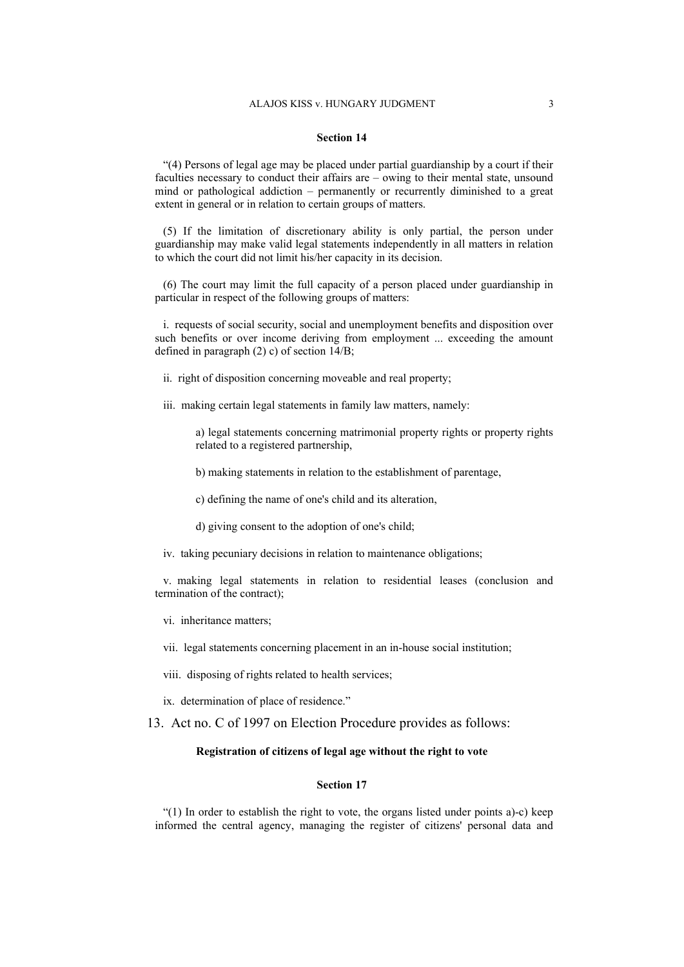### **Section 14**

"(4) Persons of legal age may be placed under partial guardianship by a court if their faculties necessary to conduct their affairs are – owing to their mental state, unsound mind or pathological addiction – permanently or recurrently diminished to a great extent in general or in relation to certain groups of matters.

(5) If the limitation of discretionary ability is only partial, the person under guardianship may make valid legal statements independently in all matters in relation to which the court did not limit his/her capacity in its decision.

(6) The court may limit the full capacity of a person placed under guardianship in particular in respect of the following groups of matters:

i. requests of social security, social and unemployment benefits and disposition over such benefits or over income deriving from employment ... exceeding the amount defined in paragraph (2) c) of section  $14/B$ ;

ii. right of disposition concerning moveable and real property;

iii. making certain legal statements in family law matters, namely:

a) legal statements concerning matrimonial property rights or property rights related to a registered partnership,

b) making statements in relation to the establishment of parentage,

c) defining the name of one's child and its alteration,

d) giving consent to the adoption of one's child;

iv. taking pecuniary decisions in relation to maintenance obligations;

v. making legal statements in relation to residential leases (conclusion and termination of the contract);

vi. inheritance matters;

vii. legal statements concerning placement in an in-house social institution;

viii. disposing of rights related to health services;

ix. determination of place of residence."

13. Act no. C of 1997 on Election Procedure provides as follows:

### **Registration of citizens of legal age without the right to vote**

### **Section 17**

"(1) In order to establish the right to vote, the organs listed under points a)-c) keep informed the central agency, managing the register of citizens' personal data and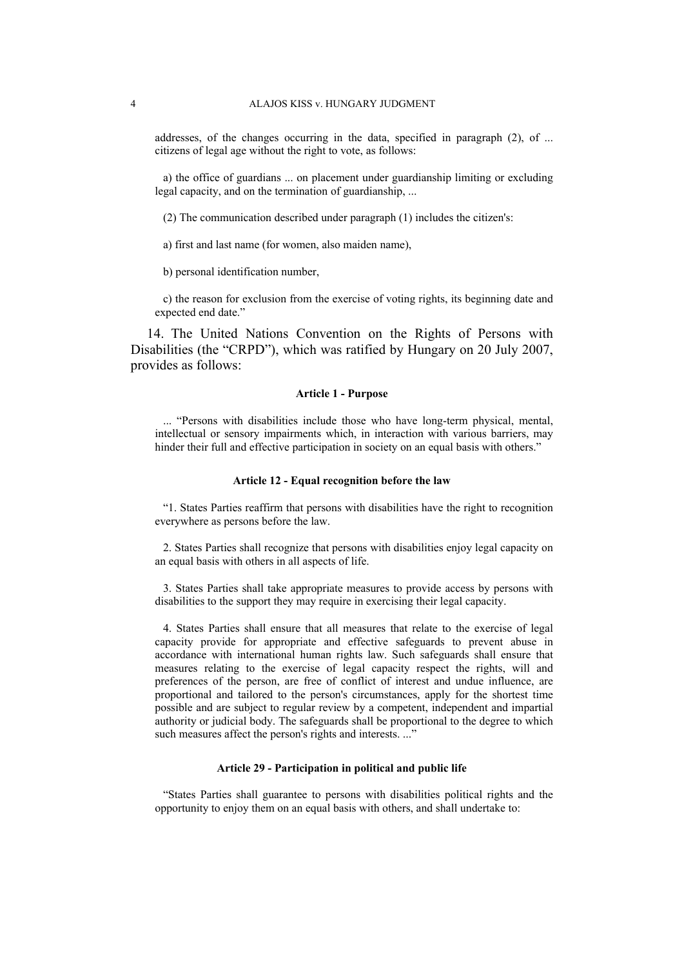addresses, of the changes occurring in the data, specified in paragraph (2), of ... citizens of legal age without the right to vote, as follows:

a) the office of guardians ... on placement under guardianship limiting or excluding legal capacity, and on the termination of guardianship, ...

(2) The communication described under paragraph (1) includes the citizen's:

a) first and last name (for women, also maiden name),

b) personal identification number,

c) the reason for exclusion from the exercise of voting rights, its beginning date and expected end date."

14. The United Nations Convention on the Rights of Persons with Disabilities (the "CRPD"), which was ratified by Hungary on 20 July 2007, provides as follows:

#### **Article 1 - Purpose**

... "Persons with disabilities include those who have long-term physical, mental, intellectual or sensory impairments which, in interaction with various barriers, may hinder their full and effective participation in society on an equal basis with others."

#### **Article 12 - Equal recognition before the law**

"1. States Parties reaffirm that persons with disabilities have the right to recognition everywhere as persons before the law.

2. States Parties shall recognize that persons with disabilities enjoy legal capacity on an equal basis with others in all aspects of life.

3. States Parties shall take appropriate measures to provide access by persons with disabilities to the support they may require in exercising their legal capacity.

4. States Parties shall ensure that all measures that relate to the exercise of legal capacity provide for appropriate and effective safeguards to prevent abuse in accordance with international human rights law. Such safeguards shall ensure that measures relating to the exercise of legal capacity respect the rights, will and preferences of the person, are free of conflict of interest and undue influence, are proportional and tailored to the person's circumstances, apply for the shortest time possible and are subject to regular review by a competent, independent and impartial authority or judicial body. The safeguards shall be proportional to the degree to which such measures affect the person's rights and interests. ..."

#### **Article 29 - Participation in political and public life**

"States Parties shall guarantee to persons with disabilities political rights and the opportunity to enjoy them on an equal basis with others, and shall undertake to: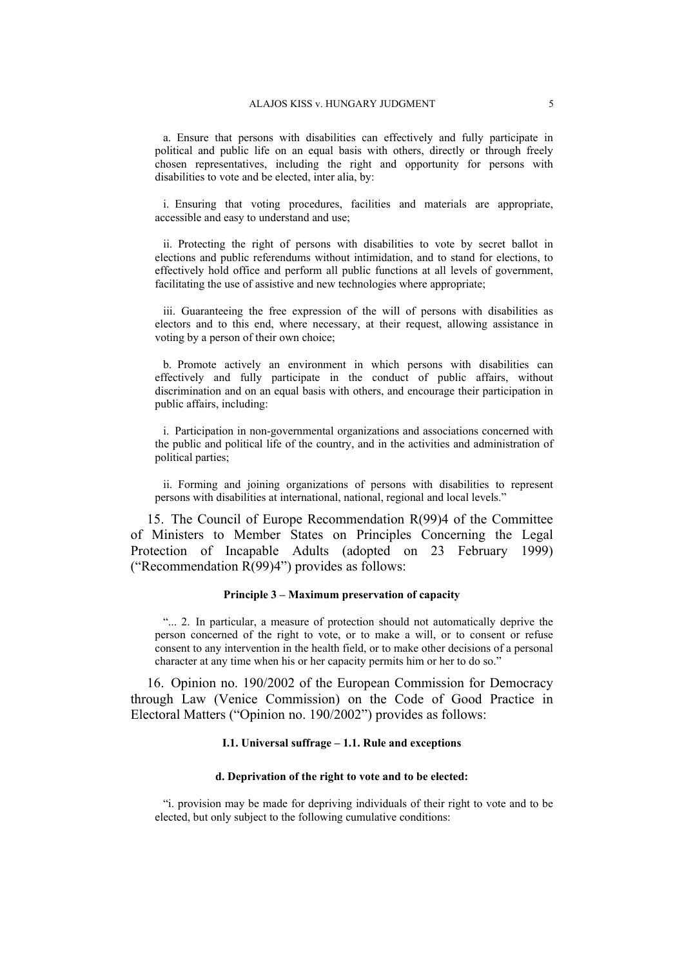a. Ensure that persons with disabilities can effectively and fully participate in political and public life on an equal basis with others, directly or through freely chosen representatives, including the right and opportunity for persons with disabilities to vote and be elected, inter alia, by:

i. Ensuring that voting procedures, facilities and materials are appropriate, accessible and easy to understand and use;

ii. Protecting the right of persons with disabilities to vote by secret ballot in elections and public referendums without intimidation, and to stand for elections, to effectively hold office and perform all public functions at all levels of government, facilitating the use of assistive and new technologies where appropriate;

iii. Guaranteeing the free expression of the will of persons with disabilities as electors and to this end, where necessary, at their request, allowing assistance in voting by a person of their own choice;

b. Promote actively an environment in which persons with disabilities can effectively and fully participate in the conduct of public affairs, without discrimination and on an equal basis with others, and encourage their participation in public affairs, including:

i. Participation in non-governmental organizations and associations concerned with the public and political life of the country, and in the activities and administration of political parties;

ii. Forming and joining organizations of persons with disabilities to represent persons with disabilities at international, national, regional and local levels."

15. The Council of Europe Recommendation R(99)4 of the Committee of Ministers to Member States on Principles Concerning the Legal Protection of Incapable Adults (adopted on 23 February 1999) ("Recommendation R(99)4") provides as follows:

#### **Principle 3 – Maximum preservation of capacity**

"... 2. In particular, a measure of protection should not automatically deprive the person concerned of the right to vote, or to make a will, or to consent or refuse consent to any intervention in the health field, or to make other decisions of a personal character at any time when his or her capacity permits him or her to do so."

16. Opinion no. 190/2002 of the European Commission for Democracy through Law (Venice Commission) on the Code of Good Practice in Electoral Matters ("Opinion no. 190/2002") provides as follows:

### **I.1. Universal suffrage – 1.1. Rule and exceptions**

#### **d. Deprivation of the right to vote and to be elected:**

"i. provision may be made for depriving individuals of their right to vote and to be elected, but only subject to the following cumulative conditions: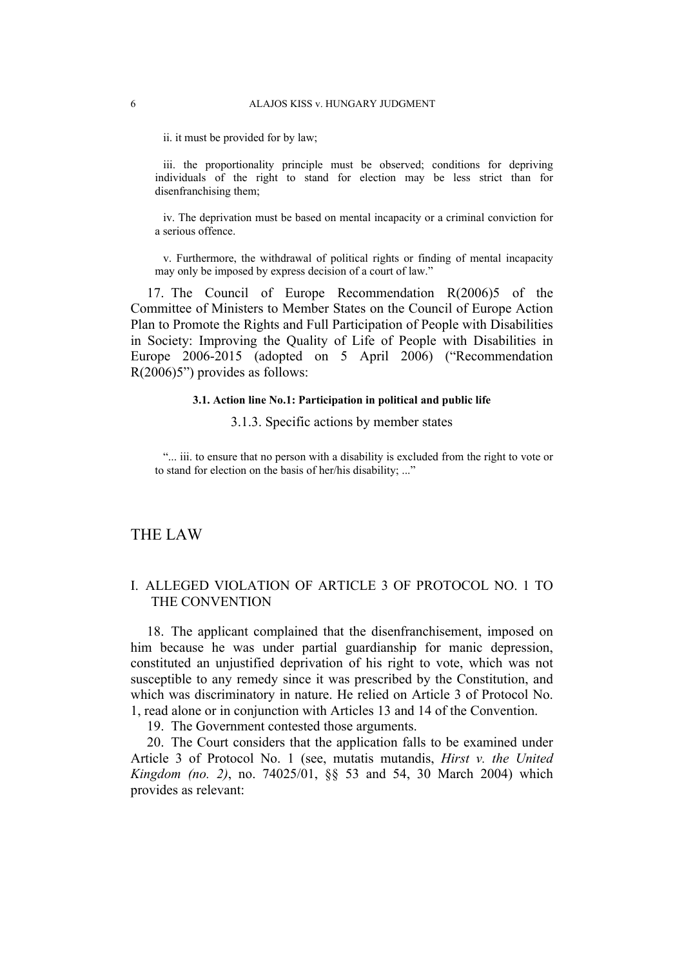ii. it must be provided for by law;

iii. the proportionality principle must be observed; conditions for depriving individuals of the right to stand for election may be less strict than for disenfranchising them;

iv. The deprivation must be based on mental incapacity or a criminal conviction for a serious offence.

v. Furthermore, the withdrawal of political rights or finding of mental incapacity may only be imposed by express decision of a court of law."

17. The Council of Europe Recommendation R(2006)5 of the Committee of Ministers to Member States on the Council of Europe Action Plan to Promote the Rights and Full Participation of People with Disabilities in Society: Improving the Quality of Life of People with Disabilities in Europe 2006-2015 (adopted on 5 April 2006) ("Recommendation R(2006)5") provides as follows:

### **3.1. Action line No.1: Participation in political and public life**

3.1.3. Specific actions by member states

"... iii. to ensure that no person with a disability is excluded from the right to vote or to stand for election on the basis of her/his disability; ..."

### THE LAW

### I. ALLEGED VIOLATION OF ARTICLE 3 OF PROTOCOL NO. 1 TO THE CONVENTION

18. The applicant complained that the disenfranchisement, imposed on him because he was under partial guardianship for manic depression, constituted an unjustified deprivation of his right to vote, which was not susceptible to any remedy since it was prescribed by the Constitution, and which was discriminatory in nature. He relied on Article 3 of Protocol No. 1, read alone or in conjunction with Articles 13 and 14 of the Convention.

19. The Government contested those arguments.

20. The Court considers that the application falls to be examined under Article 3 of Protocol No. 1 (see, mutatis mutandis, *Hirst v. the United Kingdom (no. 2)*, no. 74025/01, §§ 53 and 54, 30 March 2004) which provides as relevant: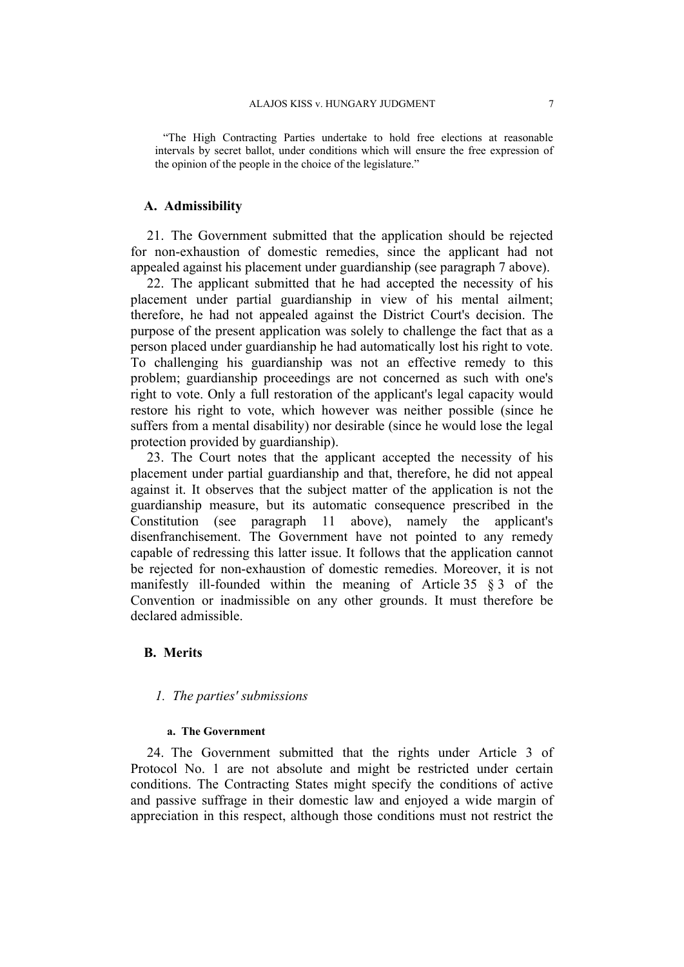"The High Contracting Parties undertake to hold free elections at reasonable intervals by secret ballot, under conditions which will ensure the free expression of the opinion of the people in the choice of the legislature."

### **A. Admissibility**

21. The Government submitted that the application should be rejected for non-exhaustion of domestic remedies, since the applicant had not appealed against his placement under guardianship (see paragraph 7 above).

22. The applicant submitted that he had accepted the necessity of his placement under partial guardianship in view of his mental ailment; therefore, he had not appealed against the District Court's decision. The purpose of the present application was solely to challenge the fact that as a person placed under guardianship he had automatically lost his right to vote. To challenging his guardianship was not an effective remedy to this problem; guardianship proceedings are not concerned as such with one's right to vote. Only a full restoration of the applicant's legal capacity would restore his right to vote, which however was neither possible (since he suffers from a mental disability) nor desirable (since he would lose the legal protection provided by guardianship).

23. The Court notes that the applicant accepted the necessity of his placement under partial guardianship and that, therefore, he did not appeal against it. It observes that the subject matter of the application is not the guardianship measure, but its automatic consequence prescribed in the Constitution (see paragraph 11 above), namely the applicant's disenfranchisement. The Government have not pointed to any remedy capable of redressing this latter issue. It follows that the application cannot be rejected for non-exhaustion of domestic remedies. Moreover, it is not manifestly ill-founded within the meaning of Article 35 § 3 of the Convention or inadmissible on any other grounds. It must therefore be declared admissible.

### **B. Merits**

### *1. The parties' submissions*

#### **a. The Government**

24. The Government submitted that the rights under Article 3 of Protocol No. 1 are not absolute and might be restricted under certain conditions. The Contracting States might specify the conditions of active and passive suffrage in their domestic law and enjoyed a wide margin of appreciation in this respect, although those conditions must not restrict the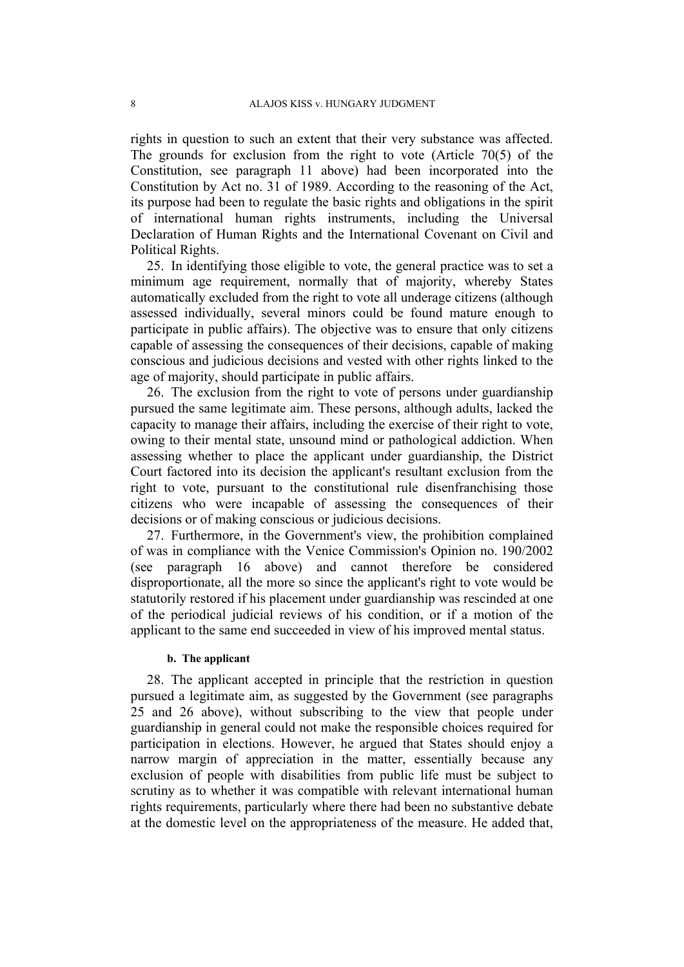rights in question to such an extent that their very substance was affected. The grounds for exclusion from the right to vote (Article 70(5) of the Constitution, see paragraph 11 above) had been incorporated into the Constitution by Act no. 31 of 1989. According to the reasoning of the Act, its purpose had been to regulate the basic rights and obligations in the spirit of international human rights instruments, including the Universal Declaration of Human Rights and the International Covenant on Civil and Political Rights.

25. In identifying those eligible to vote, the general practice was to set a minimum age requirement, normally that of majority, whereby States automatically excluded from the right to vote all underage citizens (although assessed individually, several minors could be found mature enough to participate in public affairs). The objective was to ensure that only citizens capable of assessing the consequences of their decisions, capable of making conscious and judicious decisions and vested with other rights linked to the age of majority, should participate in public affairs.

26. The exclusion from the right to vote of persons under guardianship pursued the same legitimate aim. These persons, although adults, lacked the capacity to manage their affairs, including the exercise of their right to vote, owing to their mental state, unsound mind or pathological addiction. When assessing whether to place the applicant under guardianship, the District Court factored into its decision the applicant's resultant exclusion from the right to vote, pursuant to the constitutional rule disenfranchising those citizens who were incapable of assessing the consequences of their decisions or of making conscious or judicious decisions.

27. Furthermore, in the Government's view, the prohibition complained of was in compliance with the Venice Commission's Opinion no. 190/2002 (see paragraph 16 above) and cannot therefore be considered disproportionate, all the more so since the applicant's right to vote would be statutorily restored if his placement under guardianship was rescinded at one of the periodical judicial reviews of his condition, or if a motion of the applicant to the same end succeeded in view of his improved mental status.

### **b. The applicant**

28. The applicant accepted in principle that the restriction in question pursued a legitimate aim, as suggested by the Government (see paragraphs 25 and 26 above), without subscribing to the view that people under guardianship in general could not make the responsible choices required for participation in elections. However, he argued that States should enjoy a narrow margin of appreciation in the matter, essentially because any exclusion of people with disabilities from public life must be subject to scrutiny as to whether it was compatible with relevant international human rights requirements, particularly where there had been no substantive debate at the domestic level on the appropriateness of the measure. He added that,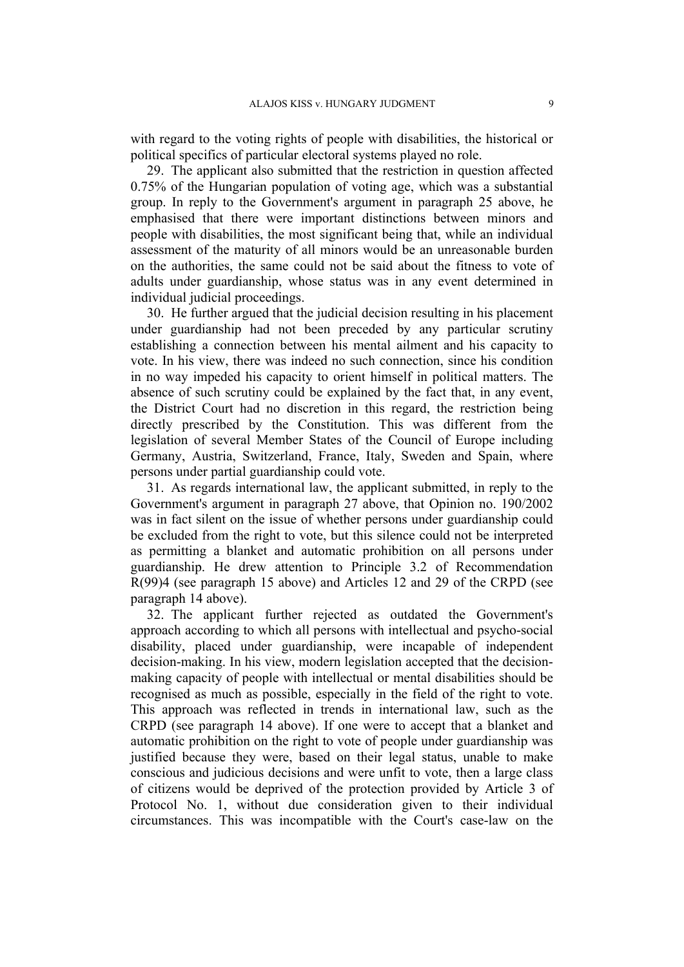with regard to the voting rights of people with disabilities, the historical or political specifics of particular electoral systems played no role.

29. The applicant also submitted that the restriction in question affected 0.75% of the Hungarian population of voting age, which was a substantial group. In reply to the Government's argument in paragraph 25 above, he emphasised that there were important distinctions between minors and people with disabilities, the most significant being that, while an individual assessment of the maturity of all minors would be an unreasonable burden on the authorities, the same could not be said about the fitness to vote of adults under guardianship, whose status was in any event determined in individual judicial proceedings.

30. He further argued that the judicial decision resulting in his placement under guardianship had not been preceded by any particular scrutiny establishing a connection between his mental ailment and his capacity to vote. In his view, there was indeed no such connection, since his condition in no way impeded his capacity to orient himself in political matters. The absence of such scrutiny could be explained by the fact that, in any event, the District Court had no discretion in this regard, the restriction being directly prescribed by the Constitution. This was different from the legislation of several Member States of the Council of Europe including Germany, Austria, Switzerland, France, Italy, Sweden and Spain, where persons under partial guardianship could vote.

31. As regards international law, the applicant submitted, in reply to the Government's argument in paragraph 27 above, that Opinion no. 190/2002 was in fact silent on the issue of whether persons under guardianship could be excluded from the right to vote, but this silence could not be interpreted as permitting a blanket and automatic prohibition on all persons under guardianship. He drew attention to Principle 3.2 of Recommendation R(99)4 (see paragraph 15 above) and Articles 12 and 29 of the CRPD (see paragraph 14 above).

32. The applicant further rejected as outdated the Government's approach according to which all persons with intellectual and psycho-social disability, placed under guardianship, were incapable of independent decision-making. In his view, modern legislation accepted that the decisionmaking capacity of people with intellectual or mental disabilities should be recognised as much as possible, especially in the field of the right to vote. This approach was reflected in trends in international law, such as the CRPD (see paragraph 14 above). If one were to accept that a blanket and automatic prohibition on the right to vote of people under guardianship was justified because they were, based on their legal status, unable to make conscious and judicious decisions and were unfit to vote, then a large class of citizens would be deprived of the protection provided by Article 3 of Protocol No. 1, without due consideration given to their individual circumstances. This was incompatible with the Court's case-law on the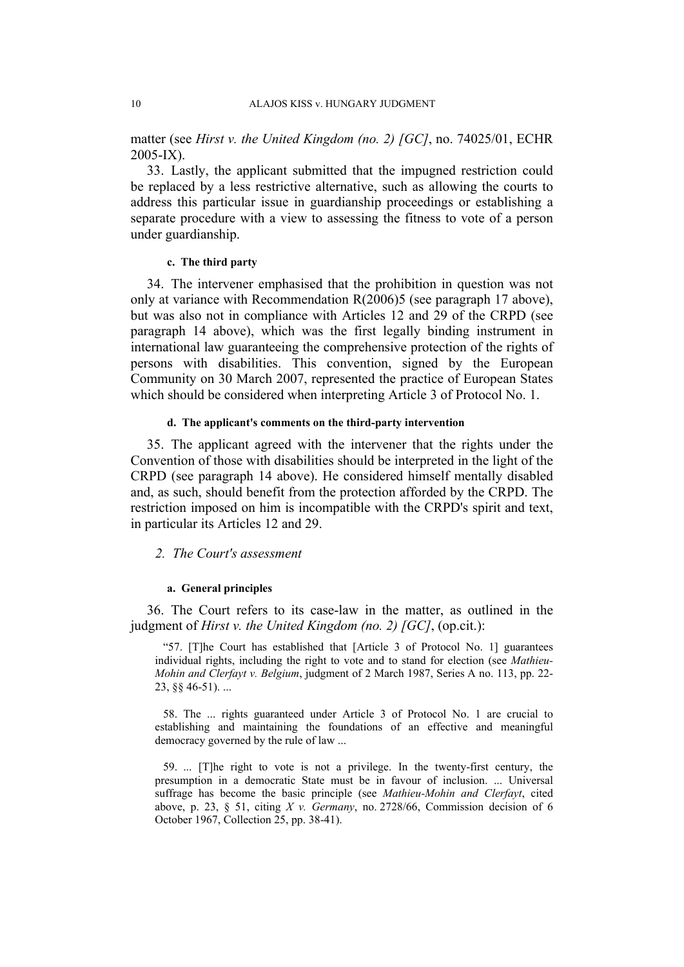matter (see *Hirst v. the United Kingdom (no. 2) [GC]*, no. 74025/01, ECHR  $2005 - IX$ ).

33. Lastly, the applicant submitted that the impugned restriction could be replaced by a less restrictive alternative, such as allowing the courts to address this particular issue in guardianship proceedings or establishing a separate procedure with a view to assessing the fitness to vote of a person under guardianship.

#### **c. The third party**

34. The intervener emphasised that the prohibition in question was not only at variance with Recommendation R(2006)5 (see paragraph 17 above), but was also not in compliance with Articles 12 and 29 of the CRPD (see paragraph 14 above), which was the first legally binding instrument in international law guaranteeing the comprehensive protection of the rights of persons with disabilities. This convention, signed by the European Community on 30 March 2007, represented the practice of European States which should be considered when interpreting Article 3 of Protocol No. 1.

### **d. The applicant's comments on the third-party intervention**

35. The applicant agreed with the intervener that the rights under the Convention of those with disabilities should be interpreted in the light of the CRPD (see paragraph 14 above). He considered himself mentally disabled and, as such, should benefit from the protection afforded by the CRPD. The restriction imposed on him is incompatible with the CRPD's spirit and text, in particular its Articles 12 and 29.

### *2. The Court's assessment*

#### **a. General principles**

36. The Court refers to its case-law in the matter, as outlined in the judgment of *Hirst v. the United Kingdom (no. 2) [GC]*, (op.cit.):

"57. [T]he Court has established that [Article 3 of Protocol No. 1] guarantees individual rights, including the right to vote and to stand for election (see *Mathieu-Mohin and Clerfayt v. Belgium*, judgment of 2 March 1987, Series A no. 113, pp. 22- 23, §§ 46-51). ...

58. The ... rights guaranteed under Article 3 of Protocol No. 1 are crucial to establishing and maintaining the foundations of an effective and meaningful democracy governed by the rule of law ...

59. ... [T]he right to vote is not a privilege. In the twenty-first century, the presumption in a democratic State must be in favour of inclusion. ... Universal suffrage has become the basic principle (see *Mathieu-Mohin and Clerfayt*, cited above, p. 23,  $\S$  51, citing *X v. Germany*, no. 2728/66, Commission decision of 6 October 1967, Collection 25, pp. 38-41).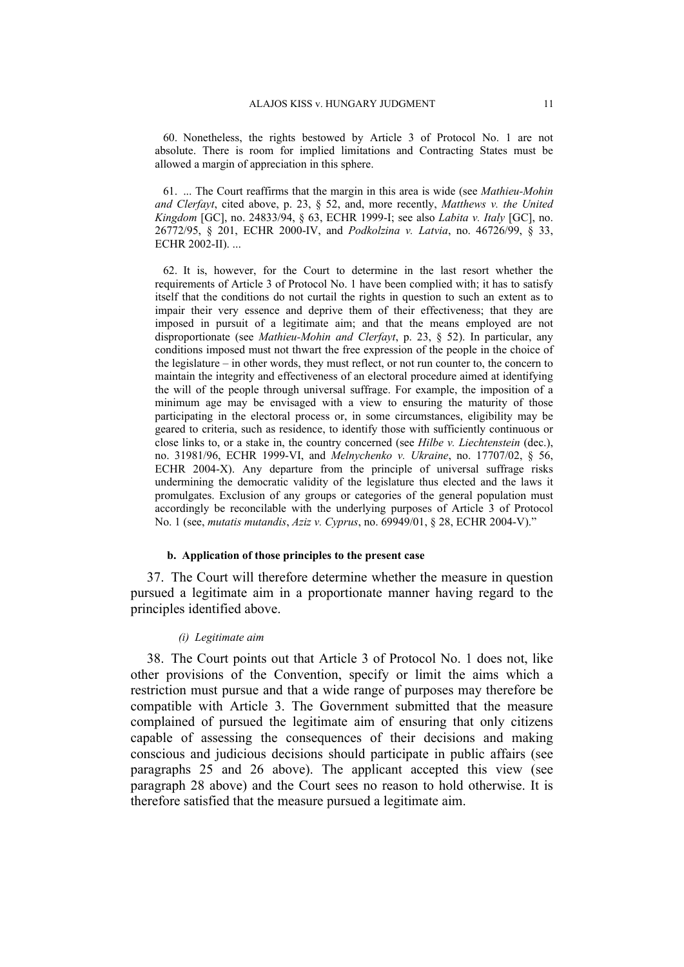60. Nonetheless, the rights bestowed by Article 3 of Protocol No. 1 are not absolute. There is room for implied limitations and Contracting States must be allowed a margin of appreciation in this sphere.

61. ... The Court reaffirms that the margin in this area is wide (see *Mathieu-Mohin and Clerfayt*, cited above, p. 23, § 52, and, more recently, *Matthews v. the United Kingdom* [GC], no. 24833/94, § 63, ECHR 1999-I; see also *Labita v. Italy* [GC], no. 26772/95, § 201, ECHR 2000-IV, and *Podkolzina v. Latvia*, no. 46726/99, § 33, ECHR 2002-II). ...

62. It is, however, for the Court to determine in the last resort whether the requirements of Article 3 of Protocol No. 1 have been complied with; it has to satisfy itself that the conditions do not curtail the rights in question to such an extent as to impair their very essence and deprive them of their effectiveness; that they are imposed in pursuit of a legitimate aim; and that the means employed are not disproportionate (see *Mathieu-Mohin and Clerfayt*, p. 23, § 52). In particular, any conditions imposed must not thwart the free expression of the people in the choice of the legislature – in other words, they must reflect, or not run counter to, the concern to maintain the integrity and effectiveness of an electoral procedure aimed at identifying the will of the people through universal suffrage. For example, the imposition of a minimum age may be envisaged with a view to ensuring the maturity of those participating in the electoral process or, in some circumstances, eligibility may be geared to criteria, such as residence, to identify those with sufficiently continuous or close links to, or a stake in, the country concerned (see *Hilbe v. Liechtenstein* (dec.), no. 31981/96, ECHR 1999-VI, and *Melnychenko v. Ukraine*, no. 17707/02, § 56, ECHR 2004-X). Any departure from the principle of universal suffrage risks undermining the democratic validity of the legislature thus elected and the laws it promulgates. Exclusion of any groups or categories of the general population must accordingly be reconcilable with the underlying purposes of Article 3 of Protocol No. 1 (see, *mutatis mutandis*, *Aziz v. Cyprus*, no. 69949/01, § 28, ECHR 2004-V)."

#### **b. Application of those principles to the present case**

37. The Court will therefore determine whether the measure in question pursued a legitimate aim in a proportionate manner having regard to the principles identified above.

#### *(i) Legitimate aim*

38. The Court points out that Article 3 of Protocol No. 1 does not, like other provisions of the Convention, specify or limit the aims which a restriction must pursue and that a wide range of purposes may therefore be compatible with Article 3. The Government submitted that the measure complained of pursued the legitimate aim of ensuring that only citizens capable of assessing the consequences of their decisions and making conscious and judicious decisions should participate in public affairs (see paragraphs 25 and 26 above). The applicant accepted this view (see paragraph 28 above) and the Court sees no reason to hold otherwise. It is therefore satisfied that the measure pursued a legitimate aim.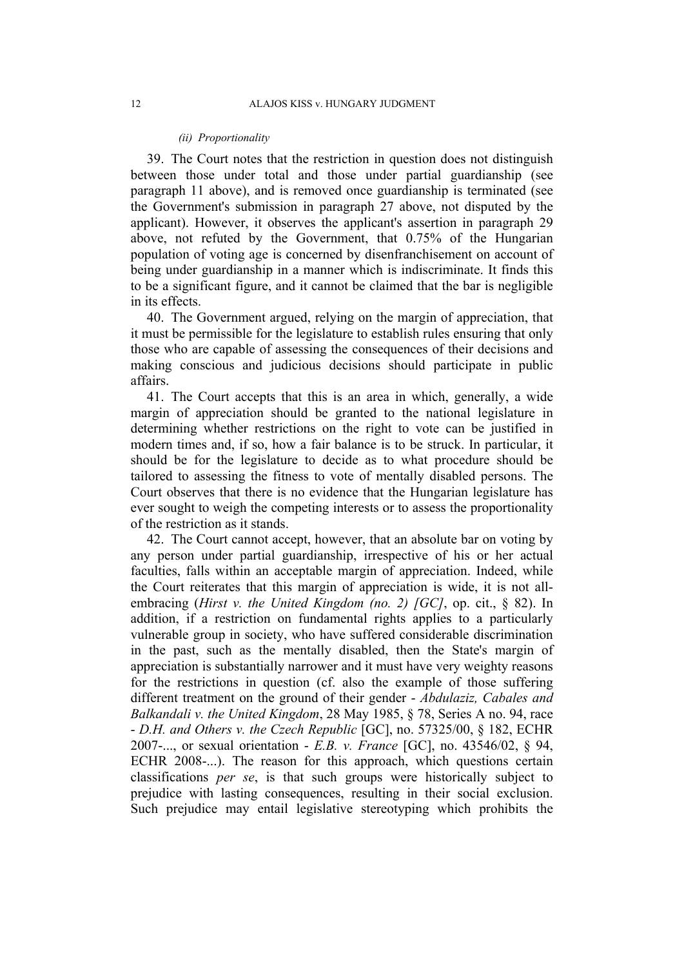#### *(ii) Proportionality*

39. The Court notes that the restriction in question does not distinguish between those under total and those under partial guardianship (see paragraph 11 above), and is removed once guardianship is terminated (see the Government's submission in paragraph 27 above, not disputed by the applicant). However, it observes the applicant's assertion in paragraph 29 above, not refuted by the Government, that 0.75% of the Hungarian population of voting age is concerned by disenfranchisement on account of being under guardianship in a manner which is indiscriminate. It finds this to be a significant figure, and it cannot be claimed that the bar is negligible in its effects.

40. The Government argued, relying on the margin of appreciation, that it must be permissible for the legislature to establish rules ensuring that only those who are capable of assessing the consequences of their decisions and making conscious and judicious decisions should participate in public affairs.

41. The Court accepts that this is an area in which, generally, a wide margin of appreciation should be granted to the national legislature in determining whether restrictions on the right to vote can be justified in modern times and, if so, how a fair balance is to be struck. In particular, it should be for the legislature to decide as to what procedure should be tailored to assessing the fitness to vote of mentally disabled persons. The Court observes that there is no evidence that the Hungarian legislature has ever sought to weigh the competing interests or to assess the proportionality of the restriction as it stands.

42. The Court cannot accept, however, that an absolute bar on voting by any person under partial guardianship, irrespective of his or her actual faculties, falls within an acceptable margin of appreciation. Indeed, while the Court reiterates that this margin of appreciation is wide, it is not allembracing (*Hirst v. the United Kingdom (no. 2) [GC]*, op. cit., § 82). In addition, if a restriction on fundamental rights applies to a particularly vulnerable group in society, who have suffered considerable discrimination in the past, such as the mentally disabled, then the State's margin of appreciation is substantially narrower and it must have very weighty reasons for the restrictions in question (cf. also the example of those suffering different treatment on the ground of their gender - *Abdulaziz, Cabales and Balkandali v. the United Kingdom*, 28 May 1985, § 78, Series A no. 94, race - *D.H. and Others v. the Czech Republic* [GC], no. 57325/00, § 182, ECHR 2007-..., or sexual orientation - *E.B. v. France* [GC], no. 43546/02, § 94, ECHR 2008-...). The reason for this approach, which questions certain classifications *per se*, is that such groups were historically subject to prejudice with lasting consequences, resulting in their social exclusion. Such prejudice may entail legislative stereotyping which prohibits the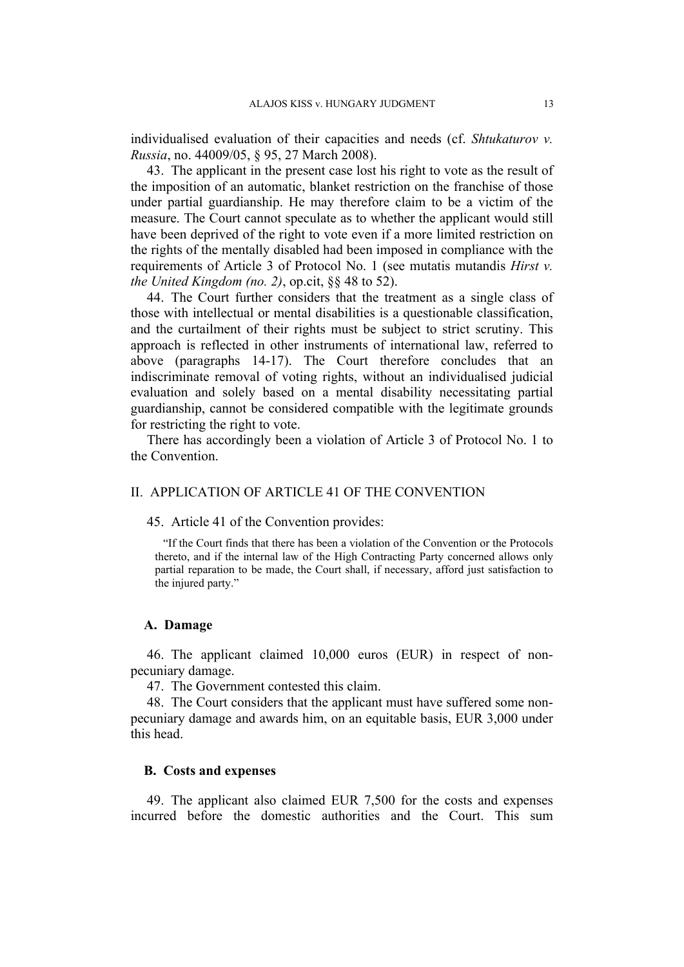individualised evaluation of their capacities and needs (cf. *Shtukaturov v. Russia*, no. 44009/05, § 95, 27 March 2008).

43. The applicant in the present case lost his right to vote as the result of the imposition of an automatic, blanket restriction on the franchise of those under partial guardianship. He may therefore claim to be a victim of the measure. The Court cannot speculate as to whether the applicant would still have been deprived of the right to vote even if a more limited restriction on the rights of the mentally disabled had been imposed in compliance with the requirements of Article 3 of Protocol No. 1 (see mutatis mutandis *Hirst v. the United Kingdom (no. 2)*, op.cit, §§ 48 to 52).

44. The Court further considers that the treatment as a single class of those with intellectual or mental disabilities is a questionable classification, and the curtailment of their rights must be subject to strict scrutiny. This approach is reflected in other instruments of international law, referred to above (paragraphs 14-17). The Court therefore concludes that an indiscriminate removal of voting rights, without an individualised judicial evaluation and solely based on a mental disability necessitating partial guardianship, cannot be considered compatible with the legitimate grounds for restricting the right to vote.

There has accordingly been a violation of Article 3 of Protocol No. 1 to the Convention.

### II. APPLICATION OF ARTICLE 41 OF THE CONVENTION

### 45. Article 41 of the Convention provides:

"If the Court finds that there has been a violation of the Convention or the Protocols thereto, and if the internal law of the High Contracting Party concerned allows only partial reparation to be made, the Court shall, if necessary, afford just satisfaction to the injured party."

### **A. Damage**

46. The applicant claimed 10,000 euros (EUR) in respect of nonpecuniary damage.

47. The Government contested this claim.

48. The Court considers that the applicant must have suffered some nonpecuniary damage and awards him, on an equitable basis, EUR 3,000 under this head.

### **B. Costs and expenses**

49. The applicant also claimed EUR 7,500 for the costs and expenses incurred before the domestic authorities and the Court. This sum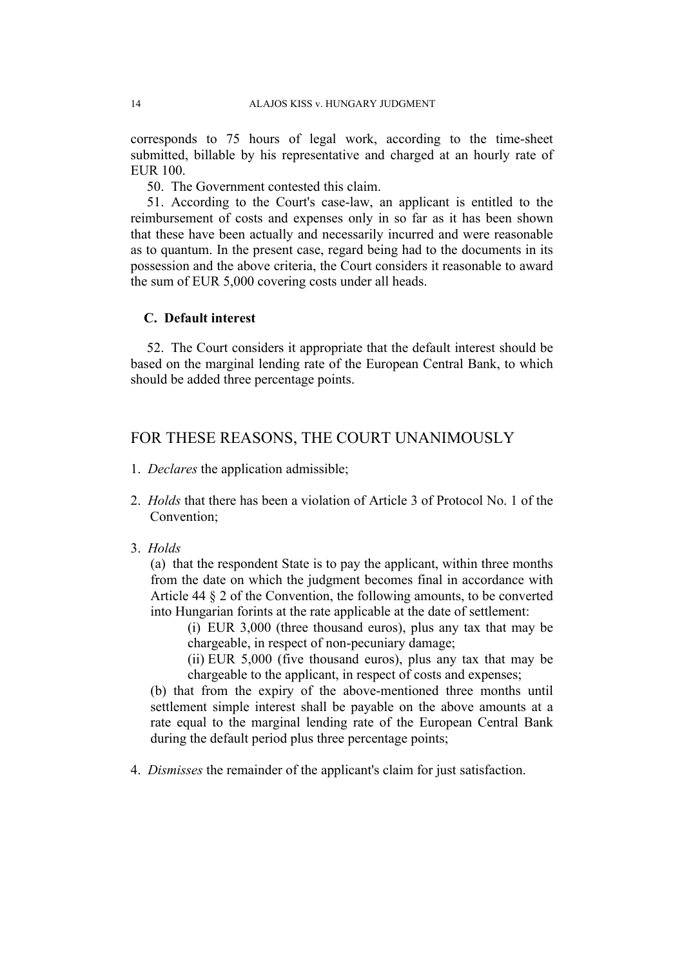corresponds to 75 hours of legal work, according to the time-sheet submitted, billable by his representative and charged at an hourly rate of EUR 100.

50. The Government contested this claim.

51. According to the Court's case-law, an applicant is entitled to the reimbursement of costs and expenses only in so far as it has been shown that these have been actually and necessarily incurred and were reasonable as to quantum. In the present case, regard being had to the documents in its possession and the above criteria, the Court considers it reasonable to award the sum of EUR 5,000 covering costs under all heads.

### **C. Default interest**

52. The Court considers it appropriate that the default interest should be based on the marginal lending rate of the European Central Bank, to which should be added three percentage points.

# FOR THESE REASONS, THE COURT UNANIMOUSLY

- 1. *Declares* the application admissible;
- 2. *Holds* that there has been a violation of Article 3 of Protocol No. 1 of the Convention;
- 3. *Holds*

(a) that the respondent State is to pay the applicant, within three months from the date on which the judgment becomes final in accordance with Article 44 § 2 of the Convention, the following amounts, to be converted into Hungarian forints at the rate applicable at the date of settlement:

- (i) EUR 3,000 (three thousand euros), plus any tax that may be chargeable, in respect of non-pecuniary damage;
- (ii) EUR 5,000 (five thousand euros), plus any tax that may be chargeable to the applicant, in respect of costs and expenses;

(b) that from the expiry of the above-mentioned three months until settlement simple interest shall be payable on the above amounts at a rate equal to the marginal lending rate of the European Central Bank during the default period plus three percentage points;

4. *Dismisses* the remainder of the applicant's claim for just satisfaction.